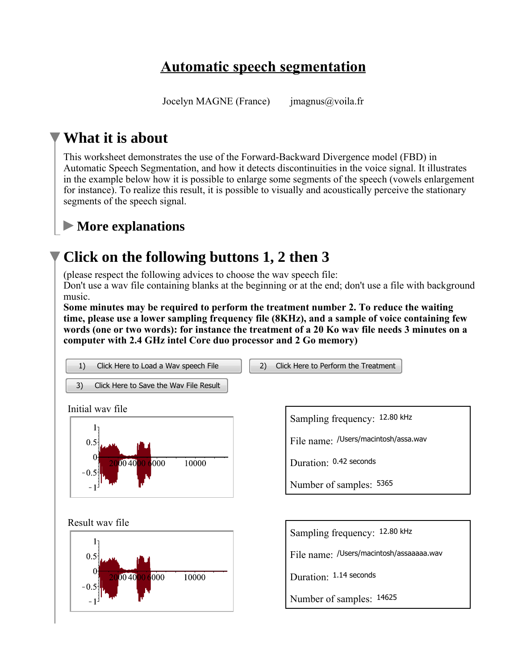## **Automatic speech segmentation**

Jocelyn MAGNE (France) imagnus@voila.fr

#### **What it is about**

This worksheet demonstrates the use of the Forward-Backward Divergence model (FBD) in Automatic Speech Segmentation, and how it detects discontinuities in the voice signal. It illustrates in the example below how it is possible to enlarge some segments of the speech (vowels enlargement for instance). To realize this result, it is possible to visually and acoustically perceive the stationary segments of the speech signal.

#### **More explanations**

## **Click on the following buttons 1, 2 then 3**

(please respect the following advices to choose the wav speech file: Don't use a wav file containing blanks at the beginning or at the end; don't use a file with background music.

**Some minutes may be required to perform the treatment number 2. To reduce the waiting time, please use a lower sampling frequency file (8KHz), and a sample of voice containing few words (one or two words): for instance the treatment of a 20 Ko wav file needs 3 minutes on a computer with 2.4 GHz intel Core duo processor and 2 Go memory)**